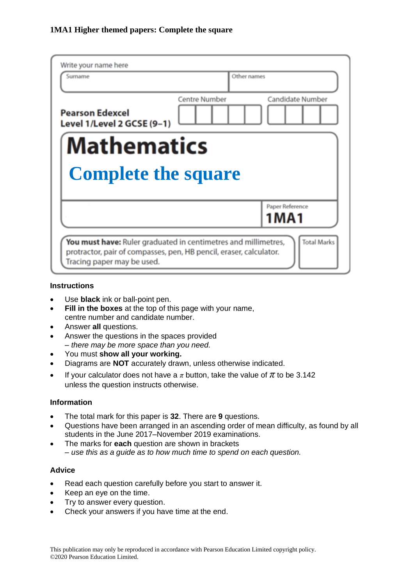| Write your name here<br>Surname                                                                                                                                    | Other names          |                            |
|--------------------------------------------------------------------------------------------------------------------------------------------------------------------|----------------------|----------------------------|
|                                                                                                                                                                    |                      |                            |
| <b>Pearson Edexcel</b><br>Level 1/Level 2 GCSE (9-1)                                                                                                               | <b>Centre Number</b> | <b>Candidate Number</b>    |
| Mathematics                                                                                                                                                        |                      |                            |
| <b>Complete the square</b>                                                                                                                                         |                      |                            |
|                                                                                                                                                                    |                      | Paper Reference<br>1 M A 1 |
| You must have: Ruler graduated in centimetres and millimetres,<br>protractor, pair of compasses, pen, HB pencil, eraser, calculator.<br>Tracing paper may be used. |                      | <b>Total Marks</b>         |

#### **Instructions**

- Use **black** ink or ball-point pen.
- **Fill in the boxes** at the top of this page with your name, centre number and candidate number.
- Answer **all** questions.
- Answer the questions in the spaces provided *– there may be more space than you need.*
- You must **show all your working.**
- Diagrams are **NOT** accurately drawn, unless otherwise indicated.
- If your calculator does not have a  $\pi$  button, take the value of  $\pi$  to be 3.142 unless the question instructs otherwise.

### **Information**

- The total mark for this paper is **32**. There are **9** questions.
- Questions have been arranged in an ascending order of mean difficulty, as found by all students in the June 2017–November 2019 examinations.
- The marks for **each** question are shown in brackets *– use this as a guide as to how much time to spend on each question.*

### **Advice**

- Read each question carefully before you start to answer it.
- Keep an eye on the time.
- Try to answer every question.
- Check your answers if you have time at the end.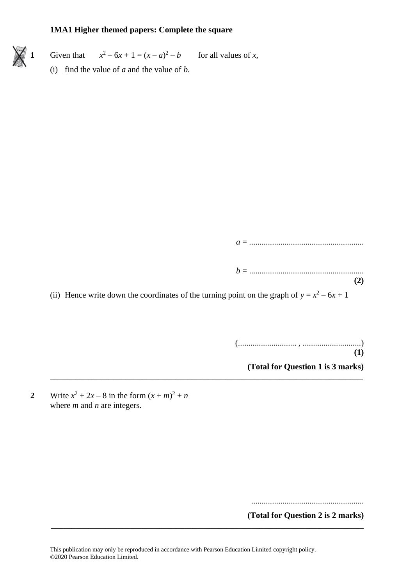**1** Given that  $x^2 - 6x + 1 = (x - a)$ for all values of  $x$ , (i) find the value of *a* and the value of *b*.

```
a = .......................................................
```
*b* = ....................................................... **(2)**

(ii) Hence write down the coordinates of the turning point on the graph of  $y = x^2 - 6x + 1$ 

**\_\_\_\_\_\_\_\_\_\_\_\_\_\_\_\_\_\_\_\_\_\_\_\_\_\_\_\_\_\_\_\_\_\_\_\_\_\_\_\_\_\_\_\_\_\_\_\_\_\_\_\_\_\_\_\_\_\_\_\_\_\_\_\_\_\_\_\_\_\_\_\_\_\_\_**

(............................ , ............................)

**(1)**

**(Total for Question 1 is 3 marks)**

**2** Write  $x^2 + 2x - 8$  in the form  $(x + m)^2 + n$ where *m* and *n* are integers.

......................................................

**(Total for Question 2 is 2 marks)**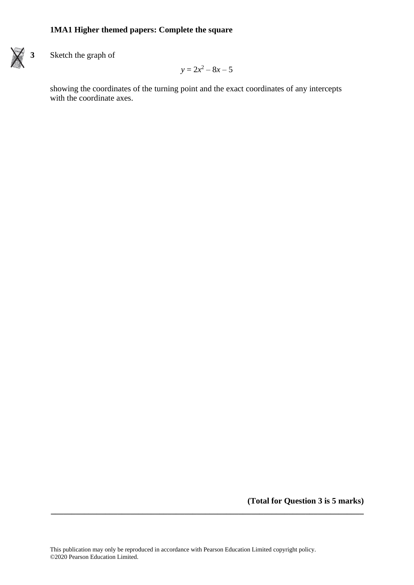

**3** Sketch the graph of

$$
y=2x^2-8x-5
$$

showing the coordinates of the turning point and the exact coordinates of any intercepts with the coordinate axes.

**(Total for Question 3 is 5 marks)**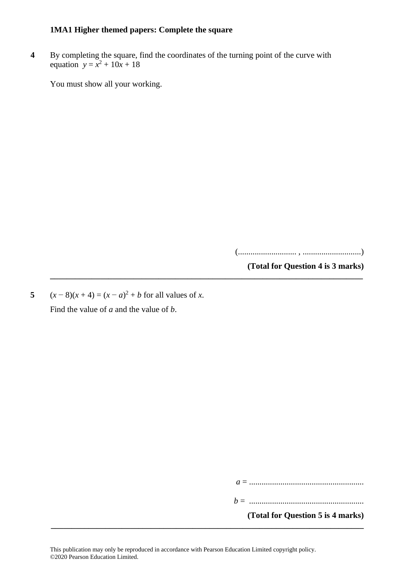**4** By completing the square, find the coordinates of the turning point of the curve with equation  $y = x^2 + 10x + 18$ 

**\_\_\_\_\_\_\_\_\_\_\_\_\_\_\_\_\_\_\_\_\_\_\_\_\_\_\_\_\_\_\_\_\_\_\_\_\_\_\_\_\_\_\_\_\_\_\_\_\_\_\_\_\_\_\_\_\_\_\_\_\_\_\_\_\_\_\_\_\_\_\_\_\_\_\_**

You must show all your working.

(............................ , ............................)

**(Total for Question 4 is 3 marks)**

5  $(x-8)(x+4) = (x-a)^2 + b$  for all values of *x*. Find the value of *a* and the value of *b*.

*a* = .......................................................

*b* = .......................................................

**(Total for Question 5 is 4 marks)**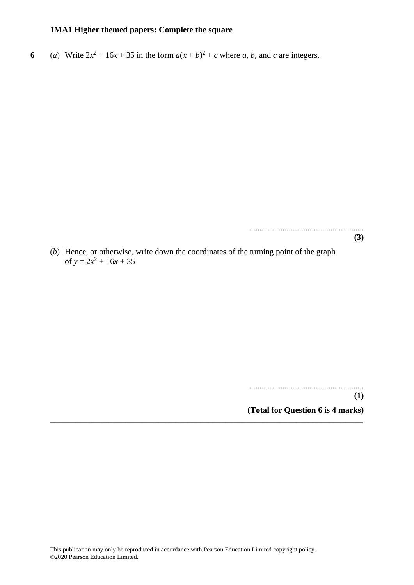**6** (*a*) Write  $2x^2 + 16x + 35$  in the form  $a(x + b)^2 + c$  where *a*, *b*, and *c* are integers.

....................................................... **(3)**

(*b*) Hence, or otherwise, write down the coordinates of the turning point of the graph of  $y = 2x^2 + 16x + 35$ 

**\_\_\_\_\_\_\_\_\_\_\_\_\_\_\_\_\_\_\_\_\_\_\_\_\_\_\_\_\_\_\_\_\_\_\_\_\_\_\_\_\_\_\_\_\_\_\_\_\_\_\_\_\_\_\_\_\_\_\_\_\_\_\_\_\_\_\_\_\_\_\_\_\_\_\_**

.......................................................

**(1)**

**(Total for Question 6 is 4 marks)**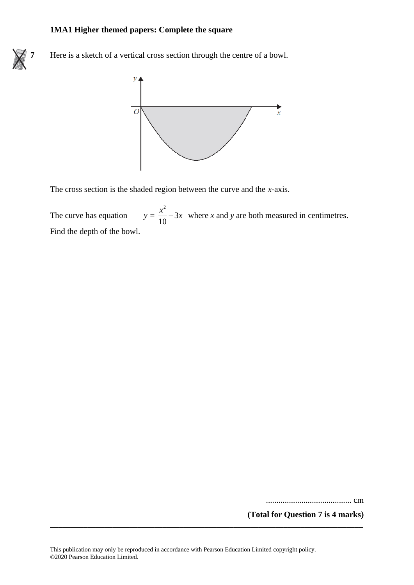

**7** Here is a sketch of a vertical cross section through the centre of a bowl.



The cross section is the shaded region between the curve and the *x*-axis.

The curve has equation  $y = \frac{x}{10} - 3x$  where x and y are both measured in centimetres. Find the depth of the bowl. 2 3 10  $\frac{x^2}{40} - 3x$ 

......................................... cm

**(Total for Question 7 is 4 marks)**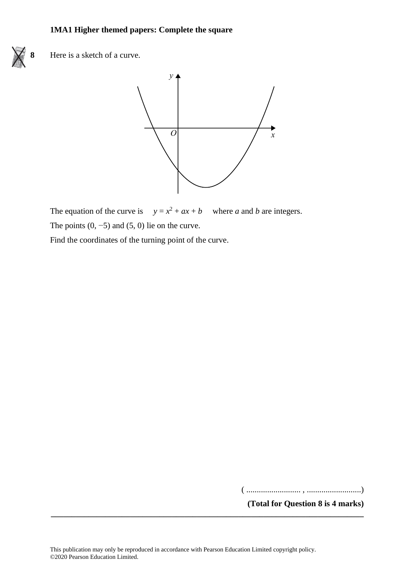

**8** Here is a sketch of a curve. **17** Here is <sup>a</sup> sketch of <sup>a</sup> curve.



The equation of the curve is  $y = x$  $z^2 + ax + b$  where *a* and *b* are integers. The points  $(0, -5)$  and  $(5, 0)$  lie on the curve.

Find the coordinates of the turning point of the curve.  $\frac{1}{\sqrt{1-\frac{1}{\sqrt{1-\frac{1}{\sqrt{1-\frac{1}{\sqrt{1-\frac{1}{\sqrt{1-\frac{1}{\sqrt{1-\frac{1}{\sqrt{1-\frac{1}{\sqrt{1-\frac{1}{\sqrt{1-\frac{1}{\sqrt{1-\frac{1}{\sqrt{1-\frac{1}{\sqrt{1-\frac{1}{\sqrt{1-\frac{1}{\sqrt{1-\frac{1}{\sqrt{1-\frac{1}{\sqrt{1-\frac{1}{\sqrt{1-\frac{1}{\sqrt{1-\frac{1}{\sqrt{1-\frac{1}{\sqrt{1-\frac{1}{\sqrt{1-\frac{1}{\sqrt{1-\frac{1}{\sqrt{1-\frac{1}{\sqrt{1-\frac{1$ 

( .......................... , ..........................)

**(Total for Question 8 is 4 marks)**